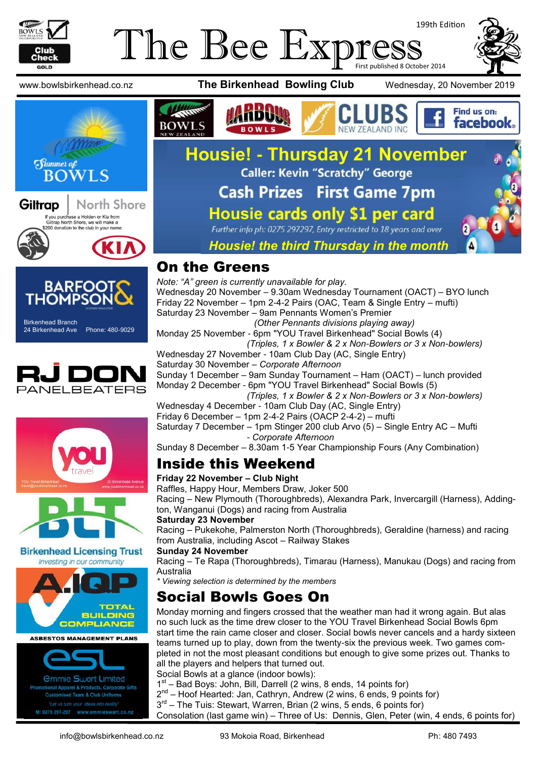

#### The Bee Expi 199th Edition First published 8 October 2014













**Birkenhead Licensing Trust** 

Investing in our community



*<u>Ommie Swart Limited</u>* nal Apparel & Products, Corporate Gifts **Customised Team & Club Uniforms** "Let us turn your ideas into reality M: 0275 297-297 www.emmieswart.co.na





# **Housie! - Thursday 21 November Cash Prizes First Game 7pm Housie cards only \$1 per card**<br>Further info ph: 0275 297297, Entry restricted to 18 years and over



#### *Housie! the third Thursday in the month*

#### On the Greens

*Note: "A" green is currently unavailable for play.* Wednesday 20 November – 9.30am Wednesday Tournament (OACT) – BYO lunch Friday 22 November – 1pm 2-4-2 Pairs (OAC, Team & Single Entry – mufti) Saturday 23 November – 9am Pennants Women's Premier

*(Other Pennants divisions playing away)*

Monday 25 November - 6pm "YOU Travel Birkenhead" Social Bowls (4)

 *(Triples, 1 x Bowler & 2 x Non-Bowlers or 3 x Non-bowlers)*

Wednesday 27 November - 10am Club Day (AC, Single Entry) Saturday 30 November – *Corporate Afternoon*

Sunday 1 December – 9am Sunday Tournament – Ham (OACT) – lunch provided Monday 2 December - 6pm "YOU Travel Birkenhead" Social Bowls (5)

 *(Triples, 1 x Bowler & 2 x Non-Bowlers or 3 x Non-bowlers)* Wednesday 4 December - 10am Club Day (AC, Single Entry)

Friday 6 December – 1pm 2-4-2 Pairs (OACP 2-4-2) – mufti

Saturday 7 December – 1pm Stinger 200 club Arvo (5) – Single Entry AC – Mufti - *Corporate Afternoon*

Sunday 8 December – 8.30am 1-5 Year Championship Fours (Any Combination)

## Inside this Weekend

#### **Friday 22 November – Club Night**

Raffles, Happy Hour, Members Draw, Joker 500

Racing – New Plymouth (Thoroughbreds), Alexandra Park, Invercargill (Harness), Addington, Wanganui (Dogs) and racing from Australia

#### **Saturday 23 November**

Racing – Pukekohe, Palmerston North (Thoroughbreds), Geraldine (harness) and racing from Australia, including Ascot – Railway Stakes

#### **Sunday 24 November**

Racing – Te Rapa (Thoroughbreds), Timarau (Harness), Manukau (Dogs) and racing from Australia

*\* Viewing selection is determined by the members*

## Social Bowls Goes On

Monday morning and fingers crossed that the weather man had it wrong again. But alas no such luck as the time drew closer to the YOU Travel Birkenhead Social Bowls 6pm start time the rain came closer and closer. Social bowls never cancels and a hardy sixteen teams turned up to play, down from the twenty-six the previous week. Two games completed in not the most pleasant conditions but enough to give some prizes out. Thanks to all the players and helpers that turned out.

Social Bowls at a glance (indoor bowls):

1<sup>st</sup> - Bad Boys: John, Bill, Darrell (2 wins, 8 ends, 14 points for)

2<sup>nd</sup> – Hoof Hearted: Jan, Cathryn, Andrew (2 wins, 6 ends, 9 points for)

3<sup>rd</sup> – The Tuis: Stewart, Warren, Brian (2 wins, 5 ends, 6 points for)

Consolation (last game win) – Three of Us: Dennis, Glen, Peter (win, 4 ends, 6 points for)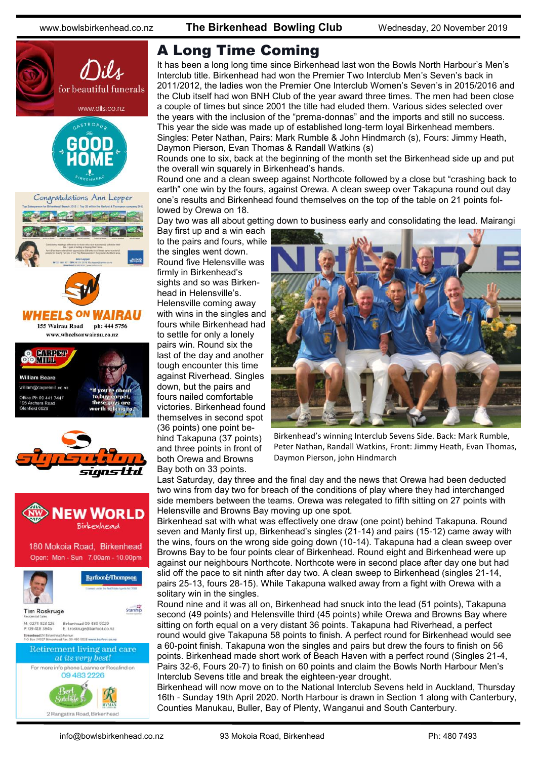

## A Long Time Coming

It has been a long long time since Birkenhead last won the Bowls North Harbour's Men's Interclub title. Birkenhead had won the Premier Two Interclub Men's Seven's back in 2011/2012, the ladies won the Premier One Interclub Women's Seven's in 2015/2016 and the Club itself had won BNH Club of the year award three times. The men had been close a couple of times but since 2001 the title had eluded them. Various sides selected over the years with the inclusion of the "prema-donnas" and the imports and still no success. This year the side was made up of established long-term loyal Birkenhead members. Singles: Peter Nathan, Pairs: Mark Rumble & John Hindmarch (s), Fours: Jimmy Heath, Daymon Pierson, Evan Thomas & Randall Watkins (s)

Rounds one to six, back at the beginning of the month set the Birkenhead side up and put the overall win squarely in Birkenhead's hands.

Round one and a clean sweep against Northcote followed by a close but "crashing back to earth" one win by the fours, against Orewa. A clean sweep over Takapuna round out day one's results and Birkenhead found themselves on the top of the table on 21 points followed by Orewa on 18.

Day two was all about getting down to business early and consolidating the lead. Mairangi

Bay first up and a win each to the pairs and fours, while the singles went down. Round five Helensville was firmly in Birkenhead's sights and so was Birkenhead in Helensville's. Helensville coming away with wins in the singles and fours while Birkenhead had to settle for only a lonely pairs win. Round six the last of the day and another tough encounter this time against Riverhead. Singles down, but the pairs and fours nailed comfortable victories. Birkenhead found themselves in second spot (36 points) one point behind Takapuna (37 points) and three points in front of both Orewa and Browns Bay both on 33 points.



Birkenhead's winning Interclub Sevens Side. Back: Mark Rumble, Peter Nathan, Randall Watkins, Front: Jimmy Heath, Evan Thomas, Daymon Pierson, john Hindmarch

Last Saturday, day three and the final day and the news that Orewa had been deducted two wins from day two for breach of the conditions of play where they had interchanged side members between the teams. Orewa was relegated to fifth sitting on 27 points with Helensville and Browns Bay moving up one spot.

Birkenhead sat with what was effectively one draw (one point) behind Takapuna. Round seven and Manly first up, Birkenhead's singles (21-14) and pairs (15-12) came away with the wins, fours on the wrong side going down (10-14). Takapuna had a clean sweep over Browns Bay to be four points clear of Birkenhead. Round eight and Birkenhead were up against our neighbours Northcote. Northcote were in second place after day one but had slid off the pace to sit ninth after day two. A clean sweep to Birkenhead (singles 21-14, pairs 25-13, fours 28-15). While Takapuna walked away from a fight with Orewa with a solitary win in the singles.

Round nine and it was all on, Birkenhead had snuck into the lead (51 points), Takapuna second (49 points) and Helensville third (45 points) while Orewa and Browns Bay where sitting on forth equal on a very distant 36 points. Takapuna had Riverhead, a perfect round would give Takapuna 58 points to finish. A perfect round for Birkenhead would see a 60-point finish. Takapuna won the singles and pairs but drew the fours to finish on 56 points. Birkenhead made short work of Beach Haven with a perfect round (Singles 21-4, Pairs 32-6, Fours 20-7) to finish on 60 points and claim the Bowls North Harbour Men's Interclub Sevens title and break the eighteen-year drought.

Birkenhead will now move on to the National Interclub Sevens held in Auckland, Thursday 16th - Sunday 19th April 2020. North Harbour is drawn in Section 1 along with Canterbury, Counties Manukau, Buller, Bay of Plenty, Wanganui and South Canterbury.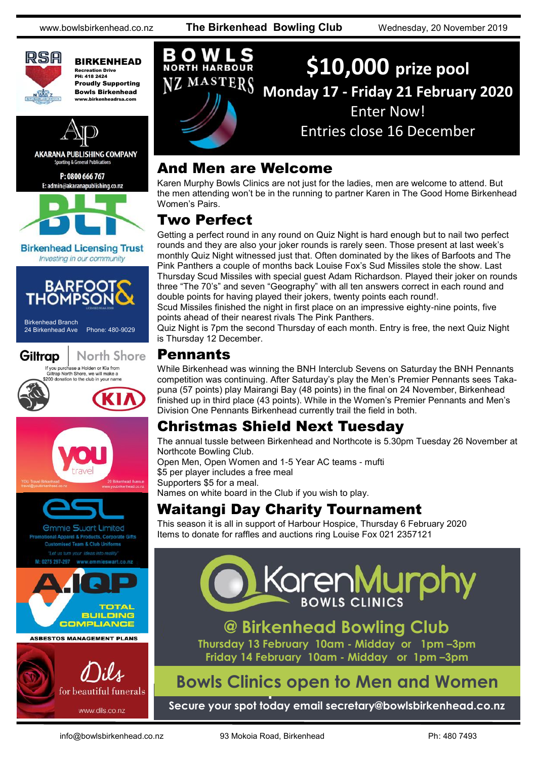www.bowlsbirkenhead.co.nz **The Birkenhead Bowling Club** Wednesday, 20 November 2019



BIRKENHEAD Recreation Drive PH: 418 2424 Proudly Supporting Bowls Birkenhead www.birkenheadrsa.co



**AKARANA PUBLISHING COMPANY Sporting & General Publication:** 

P: 0800 666 767 E: admin@akaranapublishing.co.nz



**Birkenhead Licensing Trust** Investing in our community



Birkenhead Branch<br>24 Birkenhead Ave











**\$10,000 prize pool NORTH HARBOUR** MASTERS **Monday 17 - Friday 21 February 2020** Enter Now! Entries close 16 December

#### And Men are Welcome

Karen Murphy Bowls Clinics are not just for the ladies, men are welcome to attend. But the men attending won't be in the running to partner Karen in The Good Home Birkenhead Women's Pairs.

### Two Perfect

Getting a perfect round in any round on Quiz Night is hard enough but to nail two perfect rounds and they are also your joker rounds is rarely seen. Those present at last week's monthly Quiz Night witnessed just that. Often dominated by the likes of Barfoots and The Pink Panthers a couple of months back Louise Fox's Sud Missiles stole the show. Last Thursday Scud Missiles with special guest Adam Richardson. Played their joker on rounds three "The 70's" and seven "Geography" with all ten answers correct in each round and double points for having played their jokers, twenty points each round!.

Scud Missiles finished the night in first place on an impressive eighty-nine points, five points ahead of their nearest rivals The Pink Panthers.

Quiz Night is 7pm the second Thursday of each month. Entry is free, the next Quiz Night is Thursday 12 December.

#### Pennants

While Birkenhead was winning the BNH Interclub Sevens on Saturday the BNH Pennants competition was continuing. After Saturday's play the Men's Premier Pennants sees Takapuna (57 points) play Mairangi Bay (48 points) in the final on 24 November, Birkenhead finished up in third place (43 points). While in the Women's Premier Pennants and Men's Division One Pennants Birkenhead currently trail the field in both.

#### Christmas Shield Next Tuesday

The annual tussle between Birkenhead and Northcote is 5.30pm Tuesday 26 November at Northcote Bowling Club. Open Men, Open Women and 1-5 Year AC teams - mufti \$5 per player includes a free meal Supporters \$5 for a meal.

Names on white board in the Club if you wish to play.

#### Waitangi Day Charity Tournament

This season it is all in support of Harbour Hospice, Thursday 6 February 2020 Items to donate for raffles and auctions ring Louise Fox 021 2357121

## KarenMurpt **BOWLS CLINICS**

## **@ Birkenhead Bowling Club**

**Thursday 13 February 10am - Midday or 1pm –3pm Friday 14 February 10am - Midday or 1pm –3pm**

## **Clinics open to Men and Women Bowls Clinics open to Men and Women**

**Secure your spot today email secretary@bowlsbirkenhead.co.nz**

info@bowlsbirkenhead.co.nz 93 Mokoia Road, Birkenhead Ph: 480 7493